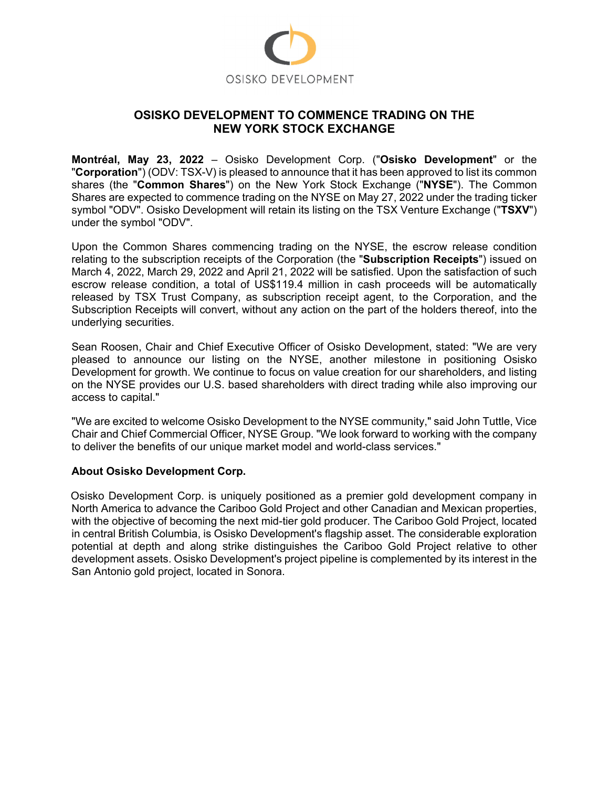

## **OSISKO DEVELOPMENT TO COMMENCE TRADING ON THE NEW YORK STOCK EXCHANGE**

**Montréal, May 23, 2022** – Osisko Development Corp. ("**Osisko Development**" or the "**Corporation**") (ODV: TSX-V) is pleased to announce that it has been approved to list its common shares (the "**Common Shares**") on the New York Stock Exchange ("**NYSE**"). The Common Shares are expected to commence trading on the NYSE on May 27, 2022 under the trading ticker symbol "ODV". Osisko Development will retain its listing on the TSX Venture Exchange ("**TSXV**") under the symbol "ODV".

Upon the Common Shares commencing trading on the NYSE, the escrow release condition relating to the subscription receipts of the Corporation (the "**Subscription Receipts**") issued on March 4, 2022, March 29, 2022 and April 21, 2022 will be satisfied. Upon the satisfaction of such escrow release condition, a total of US\$119.4 million in cash proceeds will be automatically released by TSX Trust Company, as subscription receipt agent, to the Corporation, and the Subscription Receipts will convert, without any action on the part of the holders thereof, into the underlying securities.

Sean Roosen, Chair and Chief Executive Officer of Osisko Development, stated: "We are very pleased to announce our listing on the NYSE, another milestone in positioning Osisko Development for growth. We continue to focus on value creation for our shareholders, and listing on the NYSE provides our U.S. based shareholders with direct trading while also improving our access to capital."

"We are excited to welcome Osisko Development to the NYSE community," said John Tuttle, Vice Chair and Chief Commercial Officer, NYSE Group. "We look forward to working with the company to deliver the benefits of our unique market model and world-class services."

## **About Osisko Development Corp.**

Osisko Development Corp. is uniquely positioned as a premier gold development company in North America to advance the Cariboo Gold Project and other Canadian and Mexican properties, with the objective of becoming the next mid-tier gold producer. The Cariboo Gold Project, located in central British Columbia, is Osisko Development's flagship asset. The considerable exploration potential at depth and along strike distinguishes the Cariboo Gold Project relative to other development assets. Osisko Development's project pipeline is complemented by its interest in the San Antonio gold project, located in Sonora.